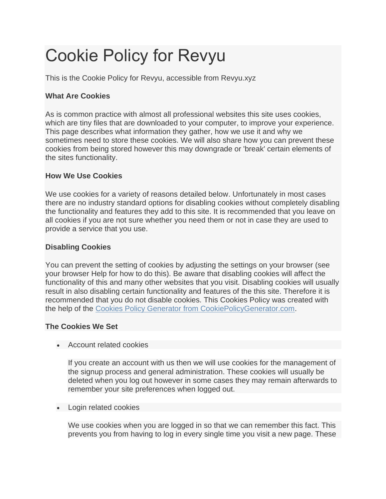# Cookie Policy for Revyu

This is the Cookie Policy for Revyu, accessible from Revyu.xyz

# **What Are Cookies**

As is common practice with almost all professional websites this site uses cookies, which are tiny files that are downloaded to your computer, to improve your experience. This page describes what information they gather, how we use it and why we sometimes need to store these cookies. We will also share how you can prevent these cookies from being stored however this may downgrade or 'break' certain elements of the sites functionality.

### **How We Use Cookies**

We use cookies for a variety of reasons detailed below. Unfortunately in most cases there are no industry standard options for disabling cookies without completely disabling the functionality and features they add to this site. It is recommended that you leave on all cookies if you are not sure whether you need them or not in case they are used to provide a service that you use.

#### **Disabling Cookies**

You can prevent the setting of cookies by adjusting the settings on your browser (see your browser Help for how to do this). Be aware that disabling cookies will affect the functionality of this and many other websites that you visit. Disabling cookies will usually result in also disabling certain functionality and features of the this site. Therefore it is recommended that you do not disable cookies. This Cookies Policy was created with the help of the [Cookies Policy Generator from CookiePolicyGenerator.com.](https://www.cookiepolicygenerator.com/cookie-policy-generator/)

### **The Cookies We Set**

• Account related cookies

If you create an account with us then we will use cookies for the management of the signup process and general administration. These cookies will usually be deleted when you log out however in some cases they may remain afterwards to remember your site preferences when logged out.

• Login related cookies

We use cookies when you are logged in so that we can remember this fact. This prevents you from having to log in every single time you visit a new page. These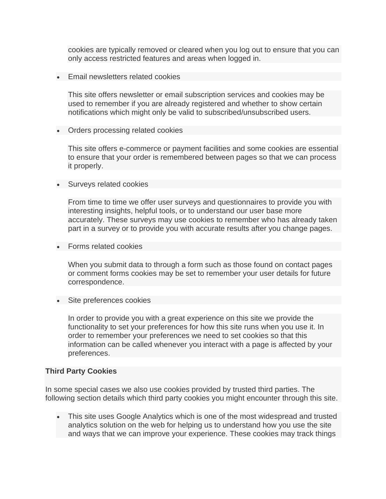cookies are typically removed or cleared when you log out to ensure that you can only access restricted features and areas when logged in.

• Email newsletters related cookies

This site offers newsletter or email subscription services and cookies may be used to remember if you are already registered and whether to show certain notifications which might only be valid to subscribed/unsubscribed users.

• Orders processing related cookies

This site offers e-commerce or payment facilities and some cookies are essential to ensure that your order is remembered between pages so that we can process it properly.

• Surveys related cookies

From time to time we offer user surveys and questionnaires to provide you with interesting insights, helpful tools, or to understand our user base more accurately. These surveys may use cookies to remember who has already taken part in a survey or to provide you with accurate results after you change pages.

• Forms related cookies

When you submit data to through a form such as those found on contact pages or comment forms cookies may be set to remember your user details for future correspondence.

• Site preferences cookies

In order to provide you with a great experience on this site we provide the functionality to set your preferences for how this site runs when you use it. In order to remember your preferences we need to set cookies so that this information can be called whenever you interact with a page is affected by your preferences.

#### **Third Party Cookies**

In some special cases we also use cookies provided by trusted third parties. The following section details which third party cookies you might encounter through this site.

• This site uses Google Analytics which is one of the most widespread and trusted analytics solution on the web for helping us to understand how you use the site and ways that we can improve your experience. These cookies may track things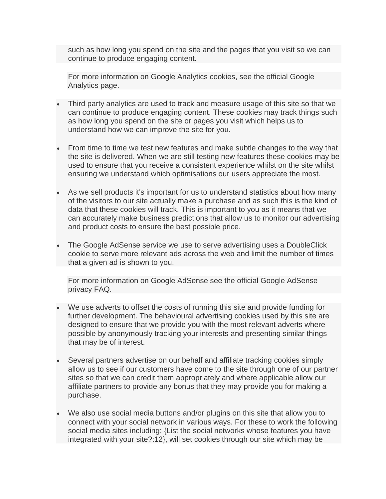such as how long you spend on the site and the pages that you visit so we can continue to produce engaging content.

For more information on Google Analytics cookies, see the official Google Analytics page.

- Third party analytics are used to track and measure usage of this site so that we can continue to produce engaging content. These cookies may track things such as how long you spend on the site or pages you visit which helps us to understand how we can improve the site for you.
- From time to time we test new features and make subtle changes to the way that the site is delivered. When we are still testing new features these cookies may be used to ensure that you receive a consistent experience whilst on the site whilst ensuring we understand which optimisations our users appreciate the most.
- As we sell products it's important for us to understand statistics about how many of the visitors to our site actually make a purchase and as such this is the kind of data that these cookies will track. This is important to you as it means that we can accurately make business predictions that allow us to monitor our advertising and product costs to ensure the best possible price.
- The Google AdSense service we use to serve advertising uses a DoubleClick cookie to serve more relevant ads across the web and limit the number of times that a given ad is shown to you.

For more information on Google AdSense see the official Google AdSense privacy FAQ.

- We use adverts to offset the costs of running this site and provide funding for further development. The behavioural advertising cookies used by this site are designed to ensure that we provide you with the most relevant adverts where possible by anonymously tracking your interests and presenting similar things that may be of interest.
- Several partners advertise on our behalf and affiliate tracking cookies simply allow us to see if our customers have come to the site through one of our partner sites so that we can credit them appropriately and where applicable allow our affiliate partners to provide any bonus that they may provide you for making a purchase.
- We also use social media buttons and/or plugins on this site that allow you to connect with your social network in various ways. For these to work the following social media sites including; {List the social networks whose features you have integrated with your site?:12}, will set cookies through our site which may be